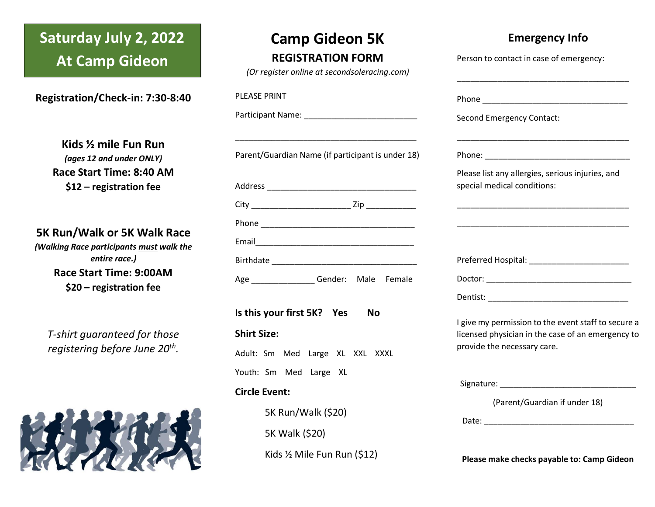## **Saturday July 2, 2022 At Camp Gideon**

**Registration/Check-in: 7:30-8:40**

**Kids ½ mile Fun Run**  *(ages 12 and under ONLY)* **Race Start Time: 8:40 AM \$12 – registration fee**

**5K Run/Walk or 5K Walk Race**

*(Walking Race participants must walk the entire race.)* **Race Start Time: 9:00AM \$20 – registration fee**

*T-shirt guaranteed for those registering before June 20th .*



### **Camp Gideon 5K REGISTRATION FORM**

*(Or register online at secondsoleracing.com)*

| or register brinne at secondsoicracing.com/                                                                  |                                                                                                                                         |
|--------------------------------------------------------------------------------------------------------------|-----------------------------------------------------------------------------------------------------------------------------------------|
| <b>PLEASE PRINT</b>                                                                                          |                                                                                                                                         |
|                                                                                                              | <b>Second Emergency Contact:</b>                                                                                                        |
| <u> 1989 - Johann John Stone, mars et al. (b. 1989)</u><br>Parent/Guardian Name (if participant is under 18) |                                                                                                                                         |
|                                                                                                              | Please list any allergies, serious injuries, and<br>special medical conditions:                                                         |
|                                                                                                              |                                                                                                                                         |
|                                                                                                              |                                                                                                                                         |
|                                                                                                              |                                                                                                                                         |
|                                                                                                              |                                                                                                                                         |
| Age _________________Gender: Male Female                                                                     |                                                                                                                                         |
|                                                                                                              |                                                                                                                                         |
| Is this your first 5K? Yes<br><b>No</b><br><b>Shirt Size:</b>                                                | I give my permission to the event staff to secure a<br>licensed physician in the case of an emergency to<br>provide the necessary care. |
| Adult: Sm Med Large XL XXL XXXL                                                                              |                                                                                                                                         |
| Youth: Sm Med Large XL<br><b>Circle Event:</b><br>5K Run/Walk (\$20)<br>5K Walk (\$20)                       | (Parent/Guardian if under 18)                                                                                                           |
| Kids 1/2 Mile Fun Run (\$12)                                                                                 | Please make checks payable to: Camp Gideon                                                                                              |

**Emergency Info**

Person to contact in case of emergency: